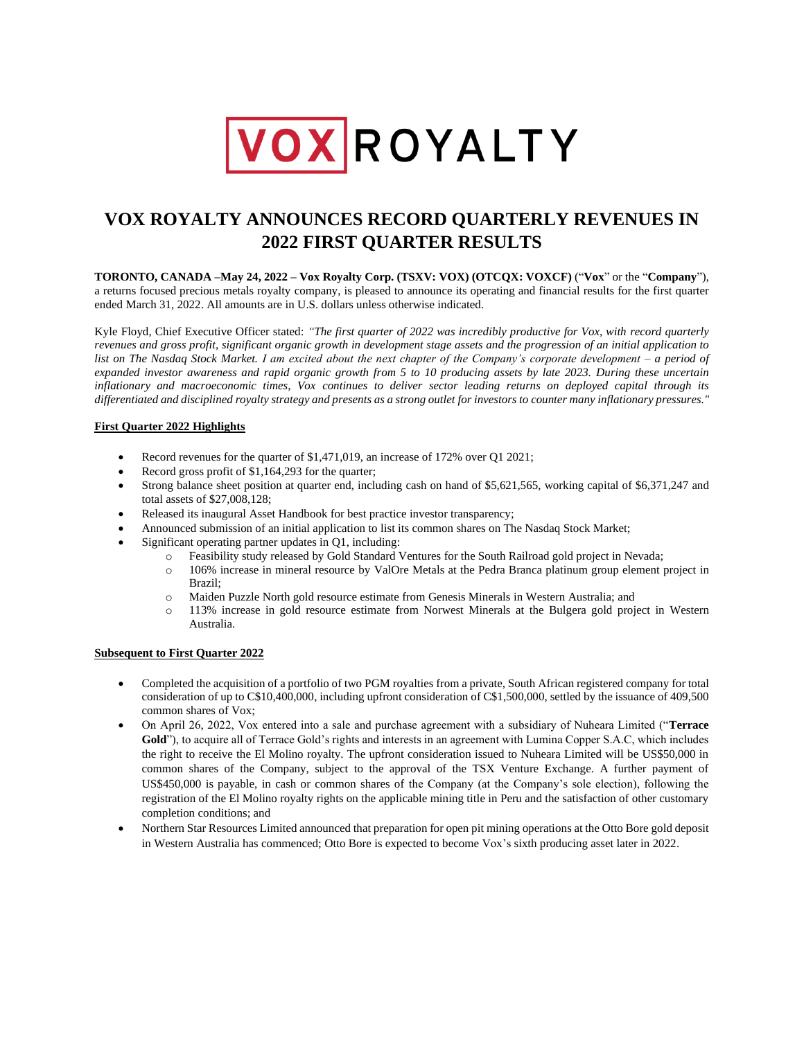

# **VOX ROYALTY ANNOUNCES RECORD QUARTERLY REVENUES IN 2022 FIRST QUARTER RESULTS**

**TORONTO, CANADA –May 24, 2022 – Vox Royalty Corp. (TSXV: VOX) (OTCQX: VOXCF)** ("**Vox**" or the "**Company**"), a returns focused precious metals royalty company, is pleased to announce its operating and financial results for the first quarter ended March 31, 2022. All amounts are in U.S. dollars unless otherwise indicated.

Kyle Floyd, Chief Executive Officer stated: *"The first quarter of 2022 was incredibly productive for Vox, with record quarterly revenues and gross profit, significant organic growth in development stage assets and the progression of an initial application to list on The Nasdaq Stock Market. I am excited about the next chapter of the Company's corporate development – a period of expanded investor awareness and rapid organic growth from 5 to 10 producing assets by late 2023. During these uncertain inflationary and macroeconomic times, Vox continues to deliver sector leading returns on deployed capital through its differentiated and disciplined royalty strategy and presents as a strong outlet for investors to counter many inflationary pressures."*

## **First Quarter 2022 Highlights**

- Record revenues for the quarter of \$1,471,019, an increase of 172% over Q1 2021;
- Record gross profit of \$1,164,293 for the quarter;
- Strong balance sheet position at quarter end, including cash on hand of \$5,621,565, working capital of \$6,371,247 and total assets of \$27,008,128;
- Released its inaugural Asset Handbook for best practice investor transparency;
- Announced submission of an initial application to list its common shares on The Nasdaq Stock Market;
- Significant operating partner updates in Q1, including:
	- o Feasibility study released by Gold Standard Ventures for the South Railroad gold project in Nevada;
		- o 106% increase in mineral resource by ValOre Metals at the Pedra Branca platinum group element project in Brazil;
		- o Maiden Puzzle North gold resource estimate from Genesis Minerals in Western Australia; and
		- o 113% increase in gold resource estimate from Norwest Minerals at the Bulgera gold project in Western Australia.

## **Subsequent to First Quarter 2022**

- Completed the acquisition of a portfolio of two PGM royalties from a private, South African registered company for total consideration of up to C\$10,400,000, including upfront consideration of C\$1,500,000, settled by the issuance of 409,500 common shares of Vox;
- On April 26, 2022, Vox entered into a sale and purchase agreement with a subsidiary of Nuheara Limited ("**Terrace Gold**"), to acquire all of Terrace Gold's rights and interests in an agreement with Lumina Copper S.A.C, which includes the right to receive the El Molino royalty. The upfront consideration issued to Nuheara Limited will be US\$50,000 in common shares of the Company, subject to the approval of the TSX Venture Exchange. A further payment of US\$450,000 is payable, in cash or common shares of the Company (at the Company's sole election), following the registration of the El Molino royalty rights on the applicable mining title in Peru and the satisfaction of other customary completion conditions; and
- Northern Star Resources Limited announced that preparation for open pit mining operations at the Otto Bore gold deposit in Western Australia has commenced; Otto Bore is expected to become Vox's sixth producing asset later in 2022.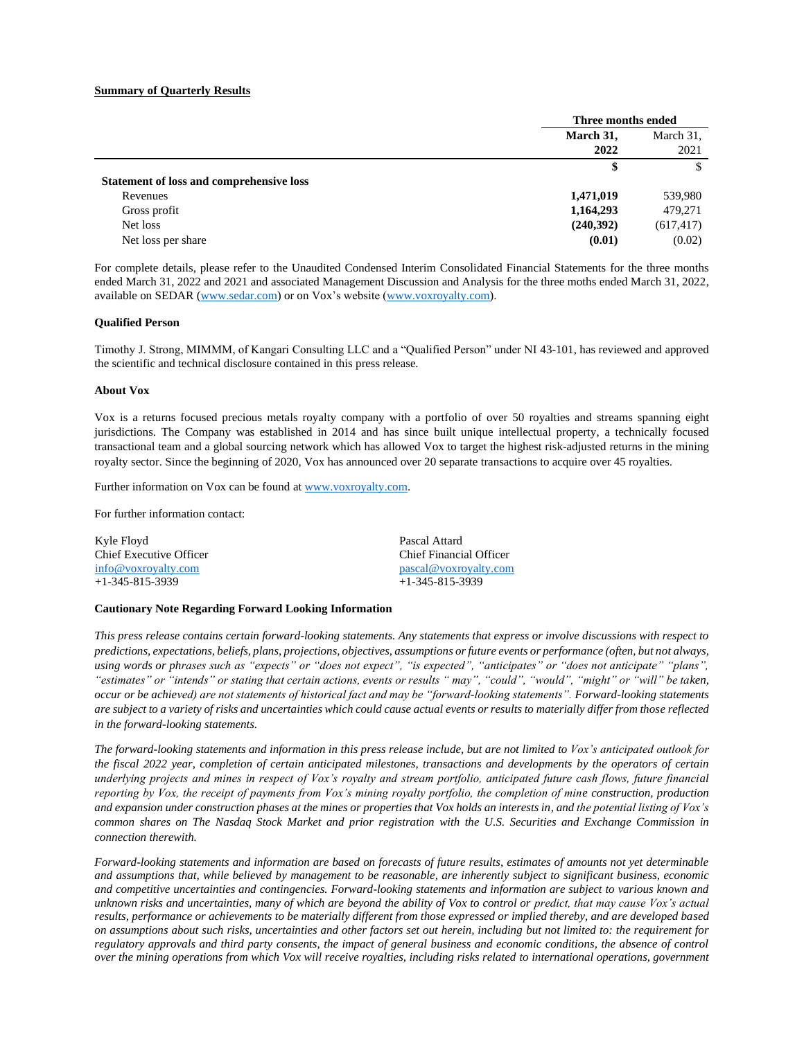#### **Summary of Quarterly Results**

|                                          | Three months ended |            |
|------------------------------------------|--------------------|------------|
|                                          | March 31,          | March 31,  |
|                                          | 2022               | 2021       |
|                                          | \$                 | \$         |
| Statement of loss and comprehensive loss |                    |            |
| Revenues                                 | 1,471,019          | 539,980    |
| Gross profit                             | 1,164,293          | 479,271    |
| Net loss                                 | (240,392)          | (617, 417) |
| Net loss per share                       | (0.01)             | (0.02)     |

For complete details, please refer to the Unaudited Condensed Interim Consolidated Financial Statements for the three months ended March 31, 2022 and 2021 and associated Management Discussion and Analysis for the three moths ended March 31, 2022, available on SEDAR [\(www.sedar.com\)](http://www.sedar.com/) or on Vox's website [\(www.voxroyalty.com\)](http://www.voxroyalty.com/).

#### **Qualified Person**

Timothy J. Strong, MIMMM, of Kangari Consulting LLC and a "Qualified Person" under NI 43-101, has reviewed and approved the scientific and technical disclosure contained in this press release.

#### **About Vox**

Vox is a returns focused precious metals royalty company with a portfolio of over 50 royalties and streams spanning eight jurisdictions. The Company was established in 2014 and has since built unique intellectual property, a technically focused transactional team and a global sourcing network which has allowed Vox to target the highest risk-adjusted returns in the mining royalty sector. Since the beginning of 2020, Vox has announced over 20 separate transactions to acquire over 45 royalties.

Further information on Vox can be found at [www.voxroyalty.com.](http://www.voxroyalty.com/)

For further information contact:

| Kyle Floyd                     | Pascal Attard           |
|--------------------------------|-------------------------|
| <b>Chief Executive Officer</b> | Chief Financial Officer |
| info@voxrovalty.com            | pascal@voxroyalty.com   |
| $+1-345-815-3939$              | $+1-345-815-3939$       |

#### **Cautionary Note Regarding Forward Looking Information**

*This press release contains certain forward-looking statements. Any statements that express or involve discussions with respect to predictions, expectations, beliefs, plans, projections, objectives, assumptions or future events or performance (often, but not always, using words or phrases such as "expects" or "does not expect", "is expected", "anticipates" or "does not anticipate" "plans", "estimates" or "intends" or stating that certain actions, events or results " may", "could", "would", "might" or "will" be taken, occur or be achieved) are not statements of historical fact and may be "forward-looking statements". Forward-looking statements are subject to a variety of risks and uncertainties which could cause actual events or results to materially differ from those reflected in the forward-looking statements.*

*The forward-looking statements and information in this press release include, but are not limited to Vox's anticipated outlook for the fiscal 2022 year, completion of certain anticipated milestones, transactions and developments by the operators of certain underlying projects and mines in respect of Vox's royalty and stream portfolio, anticipated future cash flows, future financial reporting by Vox, the receipt of payments from Vox's mining royalty portfolio, the completion of mine construction, production and expansion under construction phases at the mines or properties that Vox holds an interests in, and the potential listing of Vox's common shares on The Nasdaq Stock Market and prior registration with the U.S. Securities and Exchange Commission in connection therewith.*

*Forward-looking statements and information are based on forecasts of future results, estimates of amounts not yet determinable and assumptions that, while believed by management to be reasonable, are inherently subject to significant business, economic and competitive uncertainties and contingencies. Forward-looking statements and information are subject to various known and unknown risks and uncertainties, many of which are beyond the ability of Vox to control or predict, that may cause Vox's actual results, performance or achievements to be materially different from those expressed or implied thereby, and are developed based on assumptions about such risks, uncertainties and other factors set out herein, including but not limited to: the requirement for regulatory approvals and third party consents, the impact of general business and economic conditions, the absence of control over the mining operations from which Vox will receive royalties, including risks related to international operations, government*